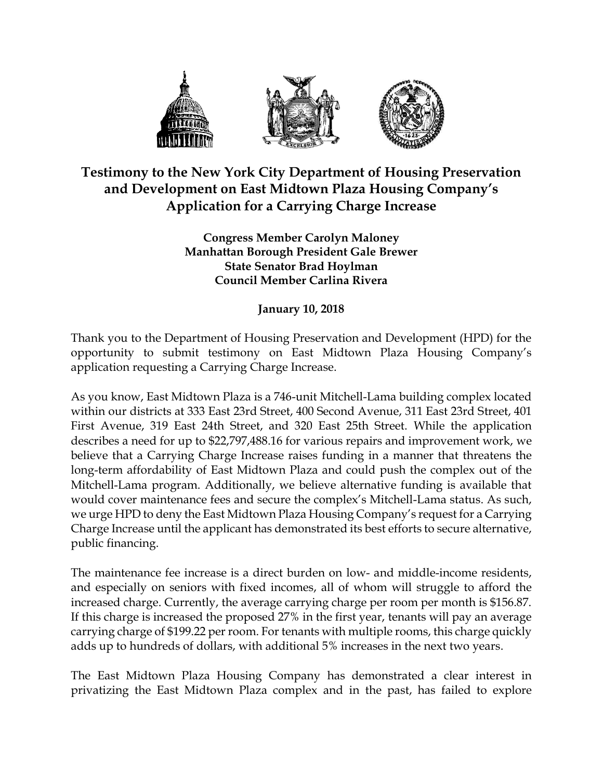

## **Testimony to the New York City Department of Housing Preservation and Development on East Midtown Plaza Housing Company's Application for a Carrying Charge Increase**

**Congress Member Carolyn Maloney Manhattan Borough President Gale Brewer State Senator Brad Hoylman Council Member Carlina Rivera**

**January 10, 2018**

Thank you to the Department of Housing Preservation and Development (HPD) for the opportunity to submit testimony on East Midtown Plaza Housing Company's application requesting a Carrying Charge Increase.

As you know, East Midtown Plaza is a 746-unit Mitchell-Lama building complex located within our districts at 333 East 23rd Street, 400 Second Avenue, 311 East 23rd Street, 401 First Avenue, 319 East 24th Street, and 320 East 25th Street. While the application describes a need for up to \$22,797,488.16 for various repairs and improvement work, we believe that a Carrying Charge Increase raises funding in a manner that threatens the long-term affordability of East Midtown Plaza and could push the complex out of the Mitchell-Lama program. Additionally, we believe alternative funding is available that would cover maintenance fees and secure the complex's Mitchell-Lama status. As such, we urge HPD to deny the East Midtown Plaza Housing Company's request for a Carrying Charge Increase until the applicant has demonstrated its best efforts to secure alternative, public financing.

The maintenance fee increase is a direct burden on low- and middle-income residents, and especially on seniors with fixed incomes, all of whom will struggle to afford the increased charge. Currently, the average carrying charge per room per month is \$156.87. If this charge is increased the proposed 27% in the first year, tenants will pay an average carrying charge of \$199.22 per room. For tenants with multiple rooms, this charge quickly adds up to hundreds of dollars, with additional 5% increases in the next two years.

The East Midtown Plaza Housing Company has demonstrated a clear interest in privatizing the East Midtown Plaza complex and in the past, has failed to explore